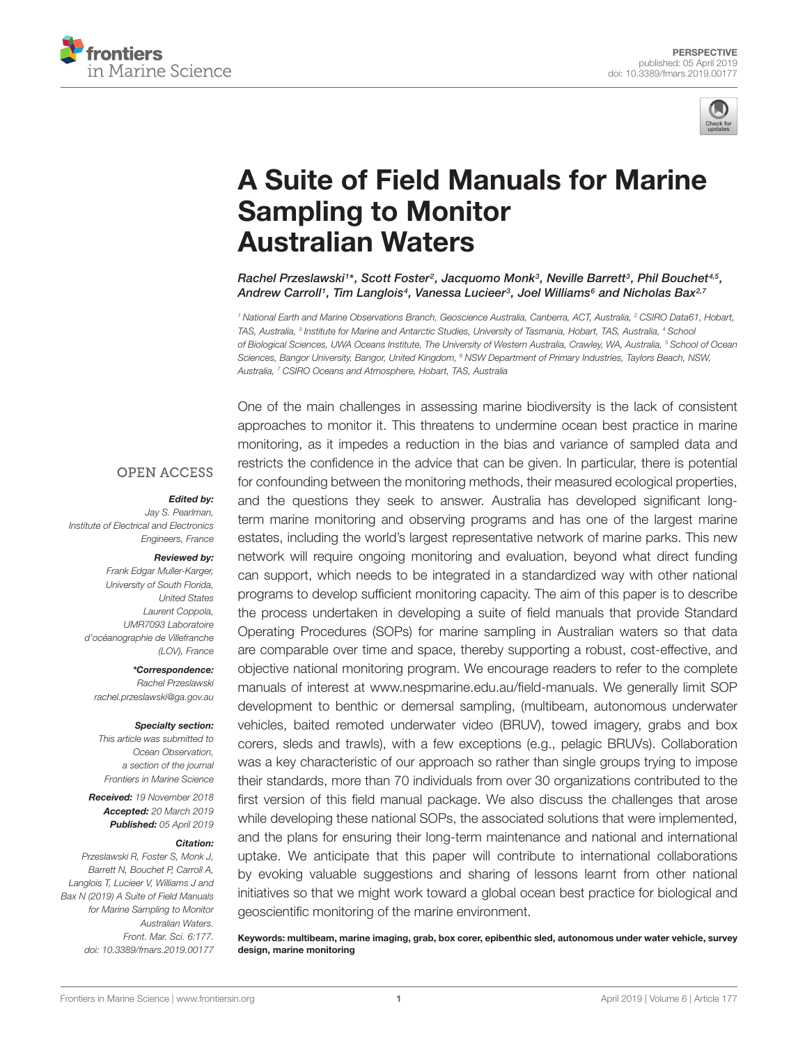



# [A Suite of Field Manuals for Marine](https://www.frontiersin.org/articles/10.3389/fmars.2019.00177/full) Sampling to Monitor Australian Waters

[Rachel Przeslawski](http://loop.frontiersin.org/people/637609/overview)1\*, [Scott Foster](http://loop.frontiersin.org/people/680811/overview)<sup>2</sup>, [Jacquomo Monk](http://loop.frontiersin.org/people/637487/overview)<sup>3</sup>, Neville Barrett<sup>3</sup>, [Phil Bouchet](http://loop.frontiersin.org/people/355898/overview)<sup>4,5</sup>, Andrew Carroll1, Tim Langlois<sup>4</sup>, Vanessa Lucieer<sup>3</sup>, [Joel Williams](http://loop.frontiersin.org/people/535212/overview)<sup>6</sup> and [Nicholas Bax](http://loop.frontiersin.org/people/376799/overview)<sup>2,7</sup>

<sup>1</sup> National Earth and Marine Observations Branch, Geoscience Australia, Canberra, ACT, Australia, <sup>2</sup> CSIRO Data61, Hobart, TAS, Australia, <sup>3</sup> Institute for Marine and Antarctic Studies, University of Tasmania, Hobart, TAS, Australia, <sup>4</sup> School of Biological Sciences, UWA Oceans Institute, The University of Western Australia, Crawley, WA, Australia, <sup>5</sup> School of Ocean Sciences, Bangor University, Bangor, United Kingdom, <sup>6</sup> NSW Department of Primary Industries, Taylors Beach, NSW, Australia, <sup>7</sup> CSIRO Oceans and Atmosphere, Hobart, TAS, Australia

#### **OPEN ACCESS**

#### Edited by:

Jay S. Pearlman, Institute of Electrical and Electronics Engineers, France

#### Reviewed by:

Frank Edgar Muller-Karger, University of South Florida, United States Laurent Coppola, UMR7093 Laboratoire d'océanographie de Villefranche (LOV), France

\*Correspondence: Rachel Przeslawski rachel.przeslawski@ga.gov.au

#### Specialty section:

This article was submitted to Ocean Observation, a section of the journal Frontiers in Marine Science

Received: 19 November 2018 Accepted: 20 March 2019 Published: 05 April 2019

#### Citation:

Przeslawski R, Foster S, Monk J, Barrett N, Bouchet P, Carroll A, Langlois T, Lucieer V, Williams J and Bax N (2019) A Suite of Field Manuals for Marine Sampling to Monitor Australian Waters. Front. Mar. Sci. 6:177. doi: [10.3389/fmars.2019.00177](https://doi.org/10.3389/fmars.2019.00177) One of the main challenges in assessing marine biodiversity is the lack of consistent approaches to monitor it. This threatens to undermine ocean best practice in marine monitoring, as it impedes a reduction in the bias and variance of sampled data and restricts the confidence in the advice that can be given. In particular, there is potential for confounding between the monitoring methods, their measured ecological properties, and the questions they seek to answer. Australia has developed significant longterm marine monitoring and observing programs and has one of the largest marine estates, including the world's largest representative network of marine parks. This new network will require ongoing monitoring and evaluation, beyond what direct funding can support, which needs to be integrated in a standardized way with other national programs to develop sufficient monitoring capacity. The aim of this paper is to describe the process undertaken in developing a suite of field manuals that provide Standard Operating Procedures (SOPs) for marine sampling in Australian waters so that data are comparable over time and space, thereby supporting a robust, cost-effective, and objective national monitoring program. We encourage readers to refer to the complete manuals of interest at [www.nespmarine.edu.au/field-manuals.](http://www.nespmarine.edu.au/field-manuals) We generally limit SOP development to benthic or demersal sampling, (multibeam, autonomous underwater vehicles, baited remoted underwater video (BRUV), towed imagery, grabs and box corers, sleds and trawls), with a few exceptions (e.g., pelagic BRUVs). Collaboration was a key characteristic of our approach so rather than single groups trying to impose their standards, more than 70 individuals from over 30 organizations contributed to the first version of this field manual package. We also discuss the challenges that arose while developing these national SOPs, the associated solutions that were implemented, and the plans for ensuring their long-term maintenance and national and international uptake. We anticipate that this paper will contribute to international collaborations by evoking valuable suggestions and sharing of lessons learnt from other national initiatives so that we might work toward a global ocean best practice for biological and geoscientific monitoring of the marine environment.

Keywords: multibeam, marine imaging, grab, box corer, epibenthic sled, autonomous under water vehicle, survey design, marine monitoring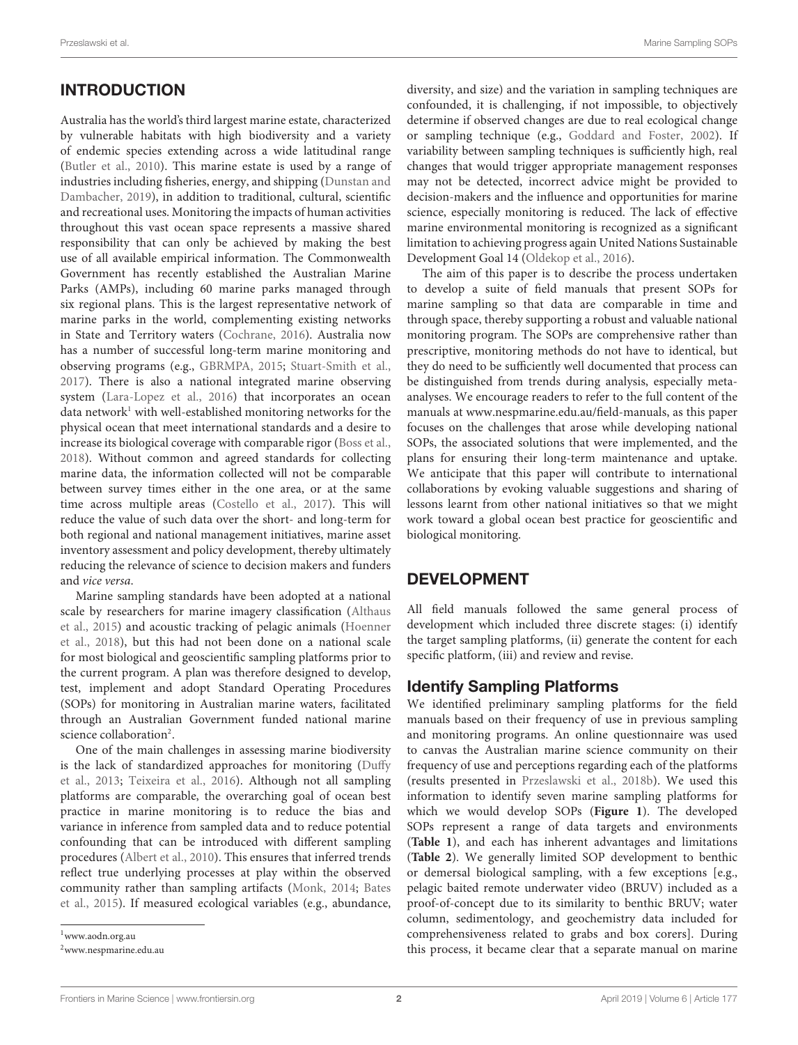# **INTRODUCTION**

Australia has the world's third largest marine estate, characterized by vulnerable habitats with high biodiversity and a variety of endemic species extending across a wide latitudinal range [\(Butler et al.,](#page-6-0) [2010\)](#page-6-0). This marine estate is used by a range of industries including fisheries, energy, and shipping [\(Dunstan and](#page-6-1) [Dambacher,](#page-6-1) [2019\)](#page-6-1), in addition to traditional, cultural, scientific and recreational uses. Monitoring the impacts of human activities throughout this vast ocean space represents a massive shared responsibility that can only be achieved by making the best use of all available empirical information. The Commonwealth Government has recently established the Australian Marine Parks (AMPs), including 60 marine parks managed through six regional plans. This is the largest representative network of marine parks in the world, complementing existing networks in State and Territory waters [\(Cochrane,](#page-6-2) [2016\)](#page-6-2). Australia now has a number of successful long-term marine monitoring and observing programs (e.g., [GBRMPA,](#page-6-3) [2015;](#page-6-3) [Stuart-Smith et al.,](#page-6-4) [2017\)](#page-6-4). There is also a national integrated marine observing system [\(Lara-Lopez et al.,](#page-6-5) [2016\)](#page-6-5) that incorporates an ocean data network<sup>[1](#page-1-0)</sup> with well-established monitoring networks for the physical ocean that meet international standards and a desire to increase its biological coverage with comparable rigor [\(Boss et al.,](#page-6-6) [2018\)](#page-6-6). Without common and agreed standards for collecting marine data, the information collected will not be comparable between survey times either in the one area, or at the same time across multiple areas [\(Costello et al.,](#page-6-7) [2017\)](#page-6-7). This will reduce the value of such data over the short- and long-term for both regional and national management initiatives, marine asset inventory assessment and policy development, thereby ultimately reducing the relevance of science to decision makers and funders and vice versa.

Marine sampling standards have been adopted at a national scale by researchers for marine imagery classification [\(Althaus](#page-6-8) [et al.,](#page-6-8) [2015\)](#page-6-8) and acoustic tracking of pelagic animals [\(Hoenner](#page-6-9) [et al.,](#page-6-9) [2018\)](#page-6-9), but this had not been done on a national scale for most biological and geoscientific sampling platforms prior to the current program. A plan was therefore designed to develop, test, implement and adopt Standard Operating Procedures (SOPs) for monitoring in Australian marine waters, facilitated through an Australian Government funded national marine science collaboration<sup>[2](#page-1-1)</sup>.

One of the main challenges in assessing marine biodiversity is the lack of standardized approaches for monitoring [\(Duffy](#page-6-10) [et al.,](#page-6-10) [2013;](#page-6-10) [Teixeira et al.,](#page-6-11) [2016\)](#page-6-11). Although not all sampling platforms are comparable, the overarching goal of ocean best practice in marine monitoring is to reduce the bias and variance in inference from sampled data and to reduce potential confounding that can be introduced with different sampling procedures [\(Albert et al.,](#page-6-12) [2010\)](#page-6-12). This ensures that inferred trends reflect true underlying processes at play within the observed community rather than sampling artifacts [\(Monk,](#page-6-13) [2014;](#page-6-13) [Bates](#page-6-14) [et al.,](#page-6-14) [2015\)](#page-6-14). If measured ecological variables (e.g., abundance, diversity, and size) and the variation in sampling techniques are confounded, it is challenging, if not impossible, to objectively determine if observed changes are due to real ecological change or sampling technique (e.g., [Goddard and Foster,](#page-6-15) [2002\)](#page-6-15). If variability between sampling techniques is sufficiently high, real changes that would trigger appropriate management responses may not be detected, incorrect advice might be provided to decision-makers and the influence and opportunities for marine science, especially monitoring is reduced. The lack of effective marine environmental monitoring is recognized as a significant limitation to achieving progress again United Nations Sustainable Development Goal 14 [\(Oldekop et al.,](#page-6-16) [2016\)](#page-6-16).

The aim of this paper is to describe the process undertaken to develop a suite of field manuals that present SOPs for marine sampling so that data are comparable in time and through space, thereby supporting a robust and valuable national monitoring program. The SOPs are comprehensive rather than prescriptive, monitoring methods do not have to identical, but they do need to be sufficiently well documented that process can be distinguished from trends during analysis, especially metaanalyses. We encourage readers to refer to the full content of the manuals at [www.nespmarine.edu.au/field-manuals,](http://www.nespmarine.edu.au/field-manuals) as this paper focuses on the challenges that arose while developing national SOPs, the associated solutions that were implemented, and the plans for ensuring their long-term maintenance and uptake. We anticipate that this paper will contribute to international collaborations by evoking valuable suggestions and sharing of lessons learnt from other national initiatives so that we might work toward a global ocean best practice for geoscientific and biological monitoring.

### DEVELOPMENT

All field manuals followed the same general process of development which included three discrete stages: (i) identify the target sampling platforms, (ii) generate the content for each specific platform, (iii) and review and revise.

### Identify Sampling Platforms

We identified preliminary sampling platforms for the field manuals based on their frequency of use in previous sampling and monitoring programs. An online questionnaire was used to canvas the Australian marine science community on their frequency of use and perceptions regarding each of the platforms (results presented in [Przeslawski et al.,](#page-6-17) [2018b\)](#page-6-17). We used this information to identify seven marine sampling platforms for which we would develop SOPs (**[Figure 1](#page-2-0)**). The developed SOPs represent a range of data targets and environments (**[Table 1](#page-2-1)**), and each has inherent advantages and limitations (**[Table 2](#page-3-0)**). We generally limited SOP development to benthic or demersal biological sampling, with a few exceptions [e.g., pelagic baited remote underwater video (BRUV) included as a proof-of-concept due to its similarity to benthic BRUV; water column, sedimentology, and geochemistry data included for comprehensiveness related to grabs and box corers]. During this process, it became clear that a separate manual on marine

<span id="page-1-0"></span><sup>1</sup><www.aodn.org.au>

<span id="page-1-1"></span><sup>2</sup>[www.nespmarine.edu.au](http://www.nespmarine.edu.au)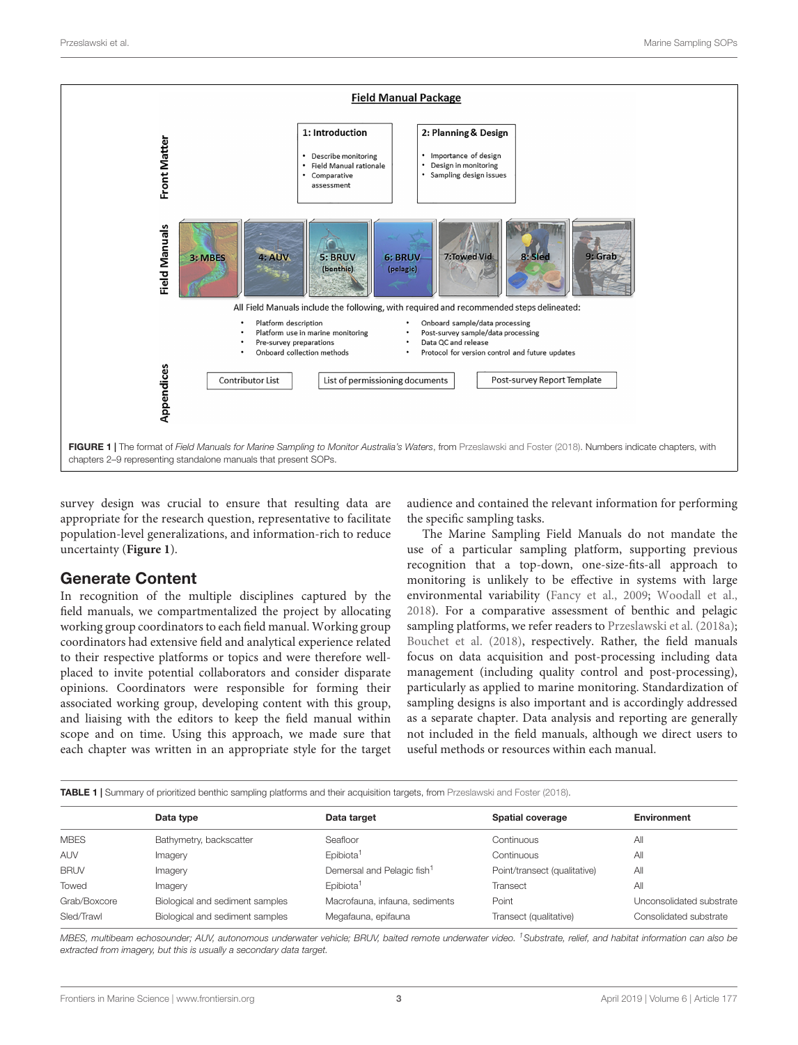

<span id="page-2-0"></span>survey design was crucial to ensure that resulting data are appropriate for the research question, representative to facilitate population-level generalizations, and information-rich to reduce uncertainty (**[Figure 1](#page-2-0)**).

#### Generate Content

In recognition of the multiple disciplines captured by the field manuals, we compartmentalized the project by allocating working group coordinators to each field manual. Working group coordinators had extensive field and analytical experience related to their respective platforms or topics and were therefore wellplaced to invite potential collaborators and consider disparate opinions. Coordinators were responsible for forming their associated working group, developing content with this group, and liaising with the editors to keep the field manual within scope and on time. Using this approach, we made sure that each chapter was written in an appropriate style for the target audience and contained the relevant information for performing the specific sampling tasks.

The Marine Sampling Field Manuals do not mandate the use of a particular sampling platform, supporting previous recognition that a top-down, one-size-fits-all approach to monitoring is unlikely to be effective in systems with large environmental variability [\(Fancy et al.,](#page-6-19) [2009;](#page-6-19) [Woodall et al.,](#page-6-20) [2018\)](#page-6-20). For a comparative assessment of benthic and pelagic sampling platforms, we refer readers to [Przeslawski et al.](#page-6-21) [\(2018a\)](#page-6-21); [Bouchet et al.](#page-6-22) [\(2018\)](#page-6-22), respectively. Rather, the field manuals focus on data acquisition and post-processing including data management (including quality control and post-processing), particularly as applied to marine monitoring. Standardization of sampling designs is also important and is accordingly addressed as a separate chapter. Data analysis and reporting are generally not included in the field manuals, although we direct users to useful methods or resources within each manual.

<span id="page-2-1"></span>

|  | TABLE 1   Summary of prioritized benthic sampling platforms and their acquisition targets, from Przeslawski and Foster (2018). |  |  |  |
|--|--------------------------------------------------------------------------------------------------------------------------------|--|--|--|

|              | Data type                       | Data target                            | Spatial coverage             | <b>Environment</b>       |
|--------------|---------------------------------|----------------------------------------|------------------------------|--------------------------|
| <b>MBES</b>  | Bathymetry, backscatter         | Seafloor                               | Continuous                   | All                      |
| <b>AUV</b>   | Imagery                         | Epibiota <sup>1</sup>                  | Continuous                   | All                      |
| <b>BRUV</b>  | Imagery                         | Demersal and Pelagic fish <sup>1</sup> | Point/transect (qualitative) | All                      |
| Towed        | Imagery                         | Epibiota <sup>1</sup>                  | Transect                     | All                      |
| Grab/Boxcore | Biological and sediment samples | Macrofauna, infauna, sediments         | Point                        | Unconsolidated substrate |
| Sled/Trawl   | Biological and sediment samples | Megafauna, epifauna                    | Transect (qualitative)       | Consolidated substrate   |
|              |                                 |                                        |                              |                          |

MBES, multibeam echosounder; AUV, autonomous underwater vehicle; BRUV, baited remote underwater video. <sup>1</sup>Substrate, relief, and habitat information can also be extracted from imagery, but this is usually a secondary data target.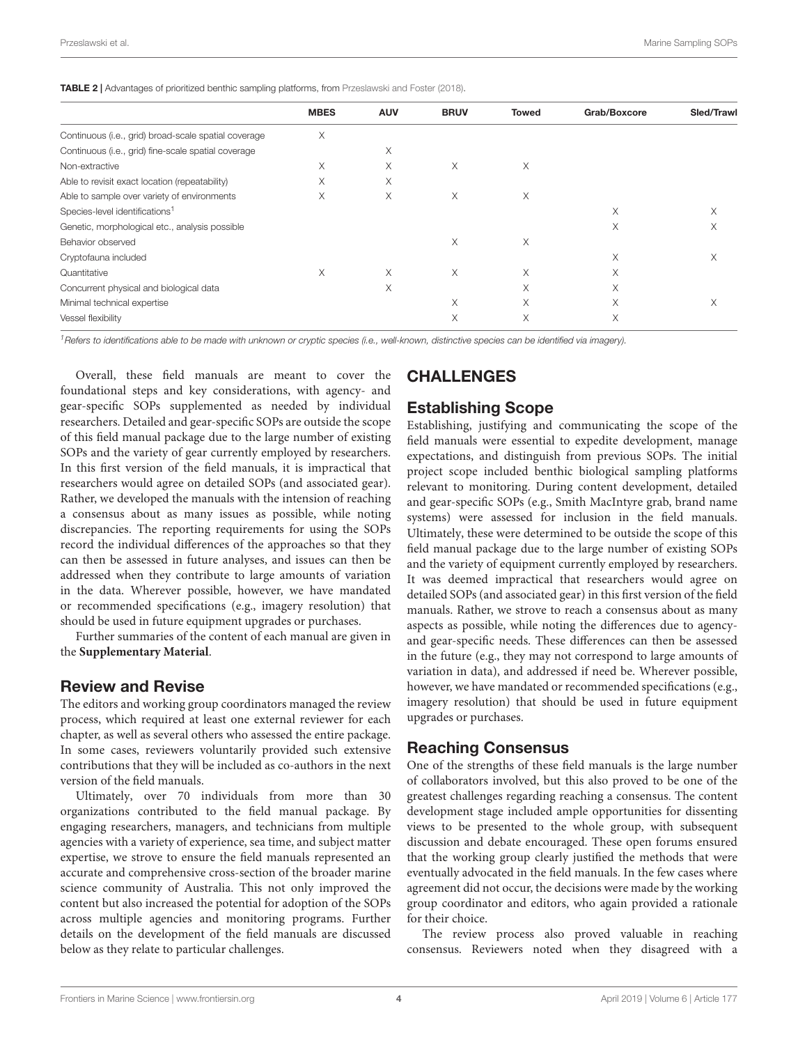<span id="page-3-0"></span>TABLE 2 | Advantages of prioritized benthic sampling platforms, from [Przeslawski and Foster](#page-6-18) [\(2018\)](#page-6-18).

|                                                      | <b>MBES</b> | <b>AUV</b> | <b>BRUV</b> | <b>Towed</b> | Grab/Boxcore | Sled/Trawl |
|------------------------------------------------------|-------------|------------|-------------|--------------|--------------|------------|
| Continuous (i.e., grid) broad-scale spatial coverage | X           |            |             |              |              |            |
| Continuous (i.e., grid) fine-scale spatial coverage  |             | X          |             |              |              |            |
| Non-extractive                                       | X           | X          | X           | X            |              |            |
| Able to revisit exact location (repeatability)       | X           | X          |             |              |              |            |
| Able to sample over variety of environments          | X           | X          | X           | X            |              |            |
| Species-level identifications <sup>1</sup>           |             |            |             |              | X            | Χ          |
| Genetic, morphological etc., analysis possible       |             |            |             |              | X            | Χ          |
| Behavior observed                                    |             |            | X           | X            |              |            |
| Cryptofauna included                                 |             |            |             |              | X            | X          |
| Quantitative                                         | X           | X          | X           | X            | X            |            |
| Concurrent physical and biological data              |             | X          |             | X            | X            |            |
| Minimal technical expertise                          |             |            | $\times$    | X            | X            | X          |
| Vessel flexibility                                   |             |            | X           | X            | X            |            |
|                                                      |             |            |             |              |              |            |

<sup>1</sup> Refers to identifications able to be made with unknown or cryptic species (i.e., well-known, distinctive species can be identified via imagery).

Overall, these field manuals are meant to cover the foundational steps and key considerations, with agency- and gear-specific SOPs supplemented as needed by individual researchers. Detailed and gear-specific SOPs are outside the scope of this field manual package due to the large number of existing SOPs and the variety of gear currently employed by researchers. In this first version of the field manuals, it is impractical that researchers would agree on detailed SOPs (and associated gear). Rather, we developed the manuals with the intension of reaching a consensus about as many issues as possible, while noting discrepancies. The reporting requirements for using the SOPs record the individual differences of the approaches so that they can then be assessed in future analyses, and issues can then be addressed when they contribute to large amounts of variation in the data. Wherever possible, however, we have mandated or recommended specifications (e.g., imagery resolution) that should be used in future equipment upgrades or purchases.

Further summaries of the content of each manual are given in the **[Supplementary Material](#page-5-0)**.

#### Review and Revise

The editors and working group coordinators managed the review process, which required at least one external reviewer for each chapter, as well as several others who assessed the entire package. In some cases, reviewers voluntarily provided such extensive contributions that they will be included as co-authors in the next version of the field manuals.

Ultimately, over 70 individuals from more than 30 organizations contributed to the field manual package. By engaging researchers, managers, and technicians from multiple agencies with a variety of experience, sea time, and subject matter expertise, we strove to ensure the field manuals represented an accurate and comprehensive cross-section of the broader marine science community of Australia. This not only improved the content but also increased the potential for adoption of the SOPs across multiple agencies and monitoring programs. Further details on the development of the field manuals are discussed below as they relate to particular challenges.

# CHALLENGES

### Establishing Scope

Establishing, justifying and communicating the scope of the field manuals were essential to expedite development, manage expectations, and distinguish from previous SOPs. The initial project scope included benthic biological sampling platforms relevant to monitoring. During content development, detailed and gear-specific SOPs (e.g., Smith MacIntyre grab, brand name systems) were assessed for inclusion in the field manuals. Ultimately, these were determined to be outside the scope of this field manual package due to the large number of existing SOPs and the variety of equipment currently employed by researchers. It was deemed impractical that researchers would agree on detailed SOPs (and associated gear) in this first version of the field manuals. Rather, we strove to reach a consensus about as many aspects as possible, while noting the differences due to agencyand gear-specific needs. These differences can then be assessed in the future (e.g., they may not correspond to large amounts of variation in data), and addressed if need be. Wherever possible, however, we have mandated or recommended specifications (e.g., imagery resolution) that should be used in future equipment upgrades or purchases.

#### Reaching Consensus

One of the strengths of these field manuals is the large number of collaborators involved, but this also proved to be one of the greatest challenges regarding reaching a consensus. The content development stage included ample opportunities for dissenting views to be presented to the whole group, with subsequent discussion and debate encouraged. These open forums ensured that the working group clearly justified the methods that were eventually advocated in the field manuals. In the few cases where agreement did not occur, the decisions were made by the working group coordinator and editors, who again provided a rationale for their choice.

The review process also proved valuable in reaching consensus. Reviewers noted when they disagreed with a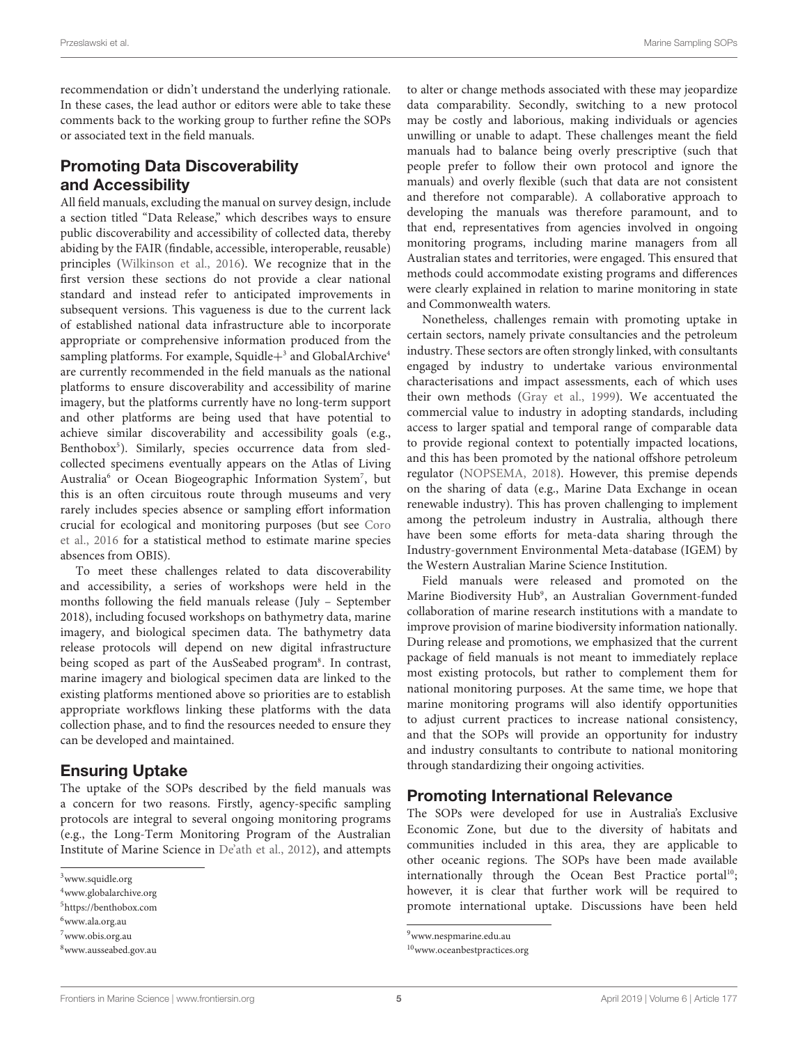recommendation or didn't understand the underlying rationale. In these cases, the lead author or editors were able to take these comments back to the working group to further refine the SOPs or associated text in the field manuals.

# Promoting Data Discoverability and Accessibility

All field manuals, excluding the manual on survey design, include a section titled "Data Release," which describes ways to ensure public discoverability and accessibility of collected data, thereby abiding by the FAIR (findable, accessible, interoperable, reusable) principles [\(Wilkinson et al.,](#page-6-23) [2016\)](#page-6-23). We recognize that in the first version these sections do not provide a clear national standard and instead refer to anticipated improvements in subsequent versions. This vagueness is due to the current lack of established national data infrastructure able to incorporate appropriate or comprehensive information produced from the sampling platforms. For example, Squidle+<sup>[3](#page-4-0)</sup> and GlobalArchive<sup>[4](#page-4-1)</sup> are currently recommended in the field manuals as the national platforms to ensure discoverability and accessibility of marine imagery, but the platforms currently have no long-term support and other platforms are being used that have potential to achieve similar discoverability and accessibility goals (e.g., Benthobox<sup>[5](#page-4-2)</sup>). Similarly, species occurrence data from sledcollected specimens eventually appears on the Atlas of Living Australia<sup>[6](#page-4-3)</sup> or Ocean Biogeographic Information System<sup>[7](#page-4-4)</sup>, but this is an often circuitous route through museums and very rarely includes species absence or sampling effort information crucial for ecological and monitoring purposes (but see [Coro](#page-6-24) [et al.,](#page-6-24) [2016](#page-6-24) for a statistical method to estimate marine species absences from OBIS).

To meet these challenges related to data discoverability and accessibility, a series of workshops were held in the months following the field manuals release (July – September 2018), including focused workshops on bathymetry data, marine imagery, and biological specimen data. The bathymetry data release protocols will depend on new digital infrastructure being scoped as part of the AusSeabed program<sup>[8](#page-4-5)</sup>. In contrast, marine imagery and biological specimen data are linked to the existing platforms mentioned above so priorities are to establish appropriate workflows linking these platforms with the data collection phase, and to find the resources needed to ensure they can be developed and maintained.

### Ensuring Uptake

The uptake of the SOPs described by the field manuals was a concern for two reasons. Firstly, agency-specific sampling protocols are integral to several ongoing monitoring programs (e.g., the Long-Term Monitoring Program of the Australian Institute of Marine Science in [De'ath et al.,](#page-6-25) [2012\)](#page-6-25), and attempts to alter or change methods associated with these may jeopardize data comparability. Secondly, switching to a new protocol may be costly and laborious, making individuals or agencies unwilling or unable to adapt. These challenges meant the field manuals had to balance being overly prescriptive (such that people prefer to follow their own protocol and ignore the manuals) and overly flexible (such that data are not consistent and therefore not comparable). A collaborative approach to developing the manuals was therefore paramount, and to that end, representatives from agencies involved in ongoing monitoring programs, including marine managers from all Australian states and territories, were engaged. This ensured that methods could accommodate existing programs and differences were clearly explained in relation to marine monitoring in state and Commonwealth waters.

Nonetheless, challenges remain with promoting uptake in certain sectors, namely private consultancies and the petroleum industry. These sectors are often strongly linked, with consultants engaged by industry to undertake various environmental characterisations and impact assessments, each of which uses their own methods [\(Gray et al.,](#page-6-26) [1999\)](#page-6-26). We accentuated the commercial value to industry in adopting standards, including access to larger spatial and temporal range of comparable data to provide regional context to potentially impacted locations, and this has been promoted by the national offshore petroleum regulator [\(NOPSEMA,](#page-6-27) [2018\)](#page-6-27). However, this premise depends on the sharing of data (e.g., Marine Data Exchange in ocean renewable industry). This has proven challenging to implement among the petroleum industry in Australia, although there have been some efforts for meta-data sharing through the Industry-government Environmental Meta-database (IGEM) by the Western Australian Marine Science Institution.

Field manuals were released and promoted on the Marine Biodiversity Hub<sup>[9](#page-4-6)</sup>, an Australian Government-funded collaboration of marine research institutions with a mandate to improve provision of marine biodiversity information nationally. During release and promotions, we emphasized that the current package of field manuals is not meant to immediately replace most existing protocols, but rather to complement them for national monitoring purposes. At the same time, we hope that marine monitoring programs will also identify opportunities to adjust current practices to increase national consistency, and that the SOPs will provide an opportunity for industry and industry consultants to contribute to national monitoring through standardizing their ongoing activities.

# Promoting International Relevance

The SOPs were developed for use in Australia's Exclusive Economic Zone, but due to the diversity of habitats and communities included in this area, they are applicable to other oceanic regions. The SOPs have been made available internationally through the Ocean Best Practice portal<sup>[10](#page-4-7)</sup>; however, it is clear that further work will be required to promote international uptake. Discussions have been held

<span id="page-4-0"></span><sup>3</sup>[www.squidle.org](http://www.squidle.org)

<span id="page-4-1"></span><sup>4</sup>[www.globalarchive.org](http://www.globalarchive.org)

<span id="page-4-2"></span><sup>5</sup><https://benthobox.com>

<span id="page-4-3"></span><sup>6</sup>[www.ala.org.au](http://www.ala.org.au)

<span id="page-4-4"></span><sup>7</sup>[www.obis.org.au](http://www.obis.org.au)

<span id="page-4-5"></span><sup>8</sup>[www.ausseabed.gov.au](http://www.ausseabed.gov.au)

<span id="page-4-6"></span><sup>9</sup>[www.nespmarine.edu.au](http://www.nespmarine.edu.au)

<span id="page-4-7"></span><sup>10</sup>[www.oceanbestpractices.org](http://www.oceanbestpractices.org)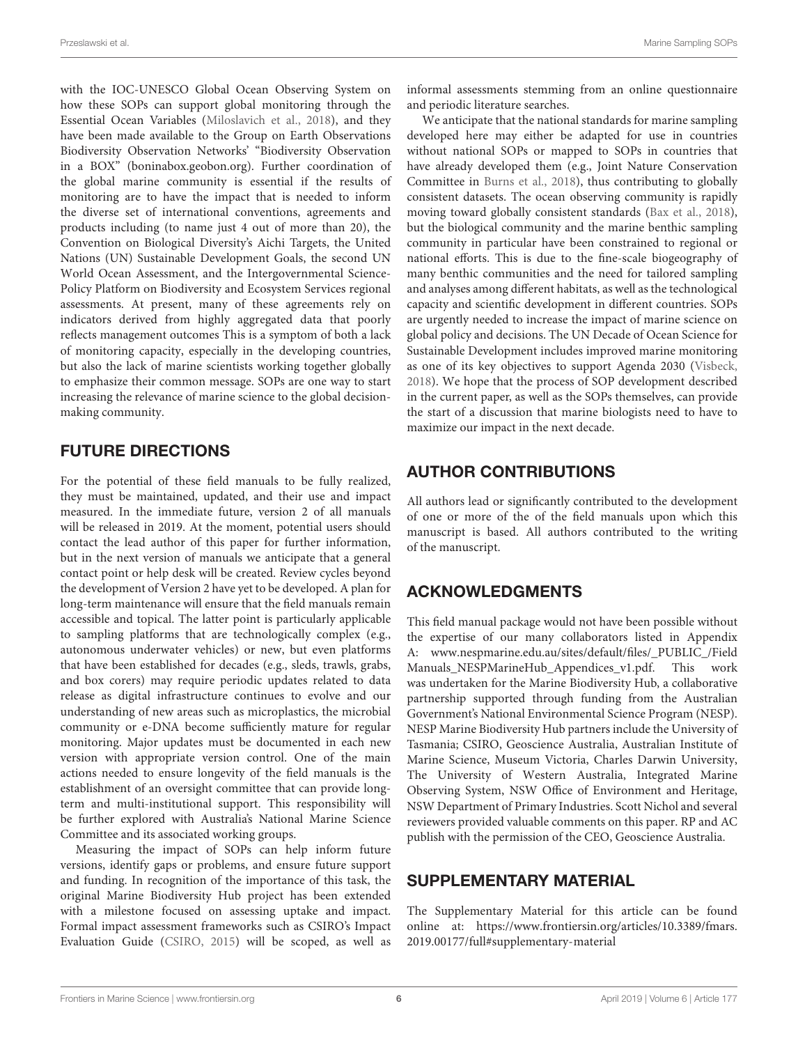with the IOC-UNESCO Global Ocean Observing System on how these SOPs can support global monitoring through the Essential Ocean Variables [\(Miloslavich et al.,](#page-6-28) [2018\)](#page-6-28), and they have been made available to the Group on Earth Observations Biodiversity Observation Networks' "Biodiversity Observation in a BOX" (boninabox.geobon.org). Further coordination of the global marine community is essential if the results of monitoring are to have the impact that is needed to inform the diverse set of international conventions, agreements and products including (to name just 4 out of more than 20), the Convention on Biological Diversity's Aichi Targets, the United Nations (UN) Sustainable Development Goals, the second UN World Ocean Assessment, and the Intergovernmental Science-Policy Platform on Biodiversity and Ecosystem Services regional assessments. At present, many of these agreements rely on indicators derived from highly aggregated data that poorly reflects management outcomes This is a symptom of both a lack of monitoring capacity, especially in the developing countries, but also the lack of marine scientists working together globally to emphasize their common message. SOPs are one way to start increasing the relevance of marine science to the global decisionmaking community.

## FUTURE DIRECTIONS

For the potential of these field manuals to be fully realized, they must be maintained, updated, and their use and impact measured. In the immediate future, version 2 of all manuals will be released in 2019. At the moment, potential users should contact the lead author of this paper for further information, but in the next version of manuals we anticipate that a general contact point or help desk will be created. Review cycles beyond the development of Version 2 have yet to be developed. A plan for long-term maintenance will ensure that the field manuals remain accessible and topical. The latter point is particularly applicable to sampling platforms that are technologically complex (e.g., autonomous underwater vehicles) or new, but even platforms that have been established for decades (e.g., sleds, trawls, grabs, and box corers) may require periodic updates related to data release as digital infrastructure continues to evolve and our understanding of new areas such as microplastics, the microbial community or e-DNA become sufficiently mature for regular monitoring. Major updates must be documented in each new version with appropriate version control. One of the main actions needed to ensure longevity of the field manuals is the establishment of an oversight committee that can provide longterm and multi-institutional support. This responsibility will be further explored with Australia's National Marine Science Committee and its associated working groups.

Measuring the impact of SOPs can help inform future versions, identify gaps or problems, and ensure future support and funding. In recognition of the importance of this task, the original Marine Biodiversity Hub project has been extended with a milestone focused on assessing uptake and impact. Formal impact assessment frameworks such as CSIRO's Impact Evaluation Guide [\(CSIRO,](#page-6-29) [2015\)](#page-6-29) will be scoped, as well as

informal assessments stemming from an online questionnaire and periodic literature searches.

We anticipate that the national standards for marine sampling developed here may either be adapted for use in countries without national SOPs or mapped to SOPs in countries that have already developed them (e.g., Joint Nature Conservation Committee in [Burns et al.,](#page-6-30) [2018\)](#page-6-30), thus contributing to globally consistent datasets. The ocean observing community is rapidly moving toward globally consistent standards [\(Bax et al.,](#page-6-31) [2018\)](#page-6-31), but the biological community and the marine benthic sampling community in particular have been constrained to regional or national efforts. This is due to the fine-scale biogeography of many benthic communities and the need for tailored sampling and analyses among different habitats, as well as the technological capacity and scientific development in different countries. SOPs are urgently needed to increase the impact of marine science on global policy and decisions. The UN Decade of Ocean Science for Sustainable Development includes improved marine monitoring as one of its key objectives to support Agenda 2030 [\(Visbeck,](#page-6-32) [2018\)](#page-6-32). We hope that the process of SOP development described in the current paper, as well as the SOPs themselves, can provide the start of a discussion that marine biologists need to have to maximize our impact in the next decade.

# AUTHOR CONTRIBUTIONS

All authors lead or significantly contributed to the development of one or more of the of the field manuals upon which this manuscript is based. All authors contributed to the writing of the manuscript.

# ACKNOWLEDGMENTS

This field manual package would not have been possible without the expertise of our many collaborators listed in Appendix A: [www.nespmarine.edu.au/sites/default/files/\\_PUBLIC\\_/Field](http://www.nespmarine.edu.au/sites/default/files/_PUBLIC_/FieldManuals_NESPMarineHub_Appendices_v1.pdf) Manuals NESPMarineHub Appendices v1.pdf. This work was undertaken for the Marine Biodiversity Hub, a collaborative partnership supported through funding from the Australian Government's National Environmental Science Program (NESP). NESP Marine Biodiversity Hub partners include the University of Tasmania; CSIRO, Geoscience Australia, Australian Institute of Marine Science, Museum Victoria, Charles Darwin University, The University of Western Australia, Integrated Marine Observing System, NSW Office of Environment and Heritage, NSW Department of Primary Industries. Scott Nichol and several reviewers provided valuable comments on this paper. RP and AC publish with the permission of the CEO, Geoscience Australia.

# <span id="page-5-0"></span>SUPPLEMENTARY MATERIAL

The Supplementary Material for this article can be found online at: [https://www.frontiersin.org/articles/10.3389/fmars.](https://www.frontiersin.org/articles/10.3389/fmars.2019.00177/full#supplementary-material) [2019.00177/full#supplementary-material](https://www.frontiersin.org/articles/10.3389/fmars.2019.00177/full#supplementary-material)